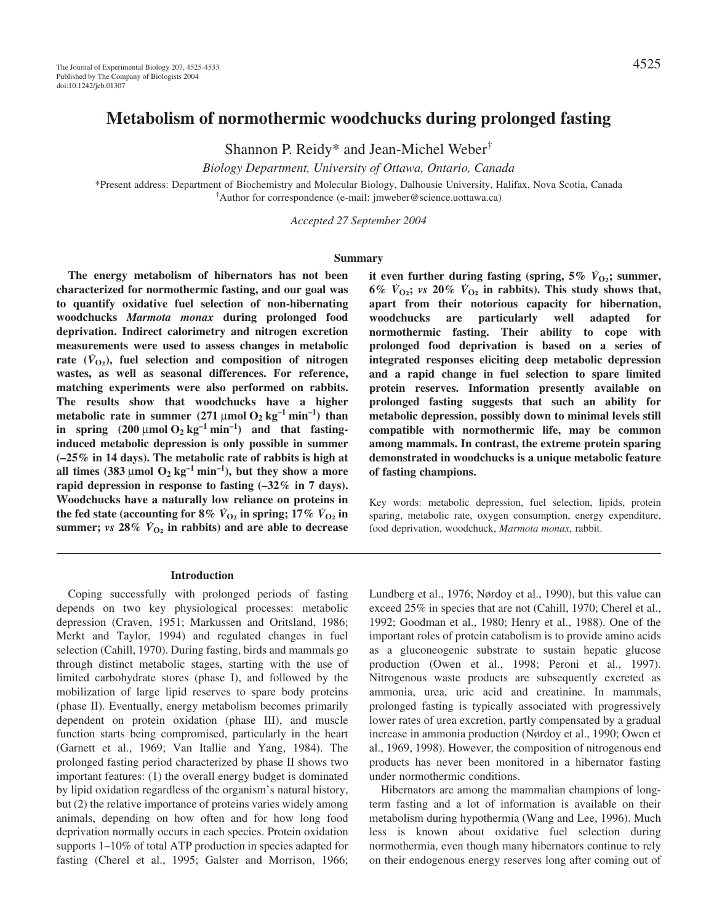Shannon P. Reidy\* and Jean-Michel Weber†

*Biology Department, University of Ottawa, Ontario, Canada*

\*Present address: Department of Biochemistry and Molecular Biology, Dalhousie University, Halifax, Nova Scotia, Canada † Author for correspondence (e-mail: jmweber@science.uottawa.ca)

*Accepted 27 September 2004*

#### **Summary**

**The energy metabolism of hibernators has not been characterized for normothermic fasting, and our goal was to quantify oxidative fuel selection of non-hibernating woodchucks** *Marmota monax* **during prolonged food deprivation. Indirect calorimetry and nitrogen excretion measurements were used to assess changes in metabolic** rate  $(V<sub>O2</sub>)$ , fuel selection and composition of nitrogen **wastes, as well as seasonal differences. For reference, matching experiments were also performed on rabbits. The results show that woodchucks have a higher metabolic rate in summer (271** µmol  $O_2$  kg<sup>-1</sup> min<sup>-1</sup>) than in spring  $(200 \mu \text{mol} \space \text{O}_2 \space \text{kg}^{-1} \space \text{min}^{-1})$  and that fasting**induced metabolic depression is only possible in summer (–25% in 14 days). The metabolic rate of rabbits is high at** all times  $(383 \mu \text{mol} \space \text{O}_2 \space \text{kg}^{-1} \space \text{min}^{-1})$ , but they show a more **rapid depression in response to fasting (–32% in 7 days). Woodchucks have a naturally low reliance on proteins in the fed state (accounting for 8%**  $\dot{V}_{\text{O}_2}$  **in spring; 17%**  $\dot{V}_{\text{O}_2}$  **in summer;**  $\nu s$  **28%**  $\dot{V}_{\Omega_2}$  in rabbits) and are able to decrease

### **Introduction**

Coping successfully with prolonged periods of fasting depends on two key physiological processes: metabolic depression (Craven, 1951; Markussen and Oritsland, 1986; Merkt and Taylor, 1994) and regulated changes in fuel selection (Cahill, 1970). During fasting, birds and mammals go through distinct metabolic stages, starting with the use of limited carbohydrate stores (phase I), and followed by the mobilization of large lipid reserves to spare body proteins (phase II). Eventually, energy metabolism becomes primarily dependent on protein oxidation (phase III), and muscle function starts being compromised, particularly in the heart (Garnett et al., 1969; Van Itallie and Yang, 1984). The prolonged fasting period characterized by phase II shows two important features: (1) the overall energy budget is dominated by lipid oxidation regardless of the organism's natural history, but (2) the relative importance of proteins varies widely among animals, depending on how often and for how long food deprivation normally occurs in each species. Protein oxidation supports 1–10% of total ATP production in species adapted for fasting (Cherel et al., 1995; Galster and Morrison, 1966;

**it even further during fasting (spring, 5%**  $\dot{V}_{O_2}$ **); summer, 6%**  $\dot{V}_{02}$ ;  $\dot{v}$   $\dot{v}$   $\dot{v}$   $\dot{V}_{02}$  in rabbits). This study shows that, **apart from their notorious capacity for hibernation, woodchucks are particularly well adapted for normothermic fasting. Their ability to cope with prolonged food deprivation is based on a series of integrated responses eliciting deep metabolic depression and a rapid change in fuel selection to spare limited protein reserves. Information presently available on prolonged fasting suggests that such an ability for metabolic depression, possibly down to minimal levels still compatible with normothermic life, may be common among mammals. In contrast, the extreme protein sparing demonstrated in woodchucks is a unique metabolic feature of fasting champions.**

Key words: metabolic depression, fuel selection, lipids, protein sparing, metabolic rate, oxygen consumption, energy expenditure, food deprivation, woodchuck, *Marmota monax*, rabbit.

Lundberg et al., 1976; Nørdoy et al., 1990), but this value can exceed 25% in species that are not (Cahill, 1970; Cherel et al., 1992; Goodman et al., 1980; Henry et al., 1988). One of the important roles of protein catabolism is to provide amino acids as a gluconeogenic substrate to sustain hepatic glucose production (Owen et al., 1998; Peroni et al., 1997). Nitrogenous waste products are subsequently excreted as ammonia, urea, uric acid and creatinine. In mammals, prolonged fasting is typically associated with progressively lower rates of urea excretion, partly compensated by a gradual increase in ammonia production (Nørdoy et al., 1990; Owen et al., 1969, 1998). However, the composition of nitrogenous end products has never been monitored in a hibernator fasting under normothermic conditions.

Hibernators are among the mammalian champions of longterm fasting and a lot of information is available on their metabolism during hypothermia (Wang and Lee, 1996). Much less is known about oxidative fuel selection during normothermia, even though many hibernators continue to rely on their endogenous energy reserves long after coming out of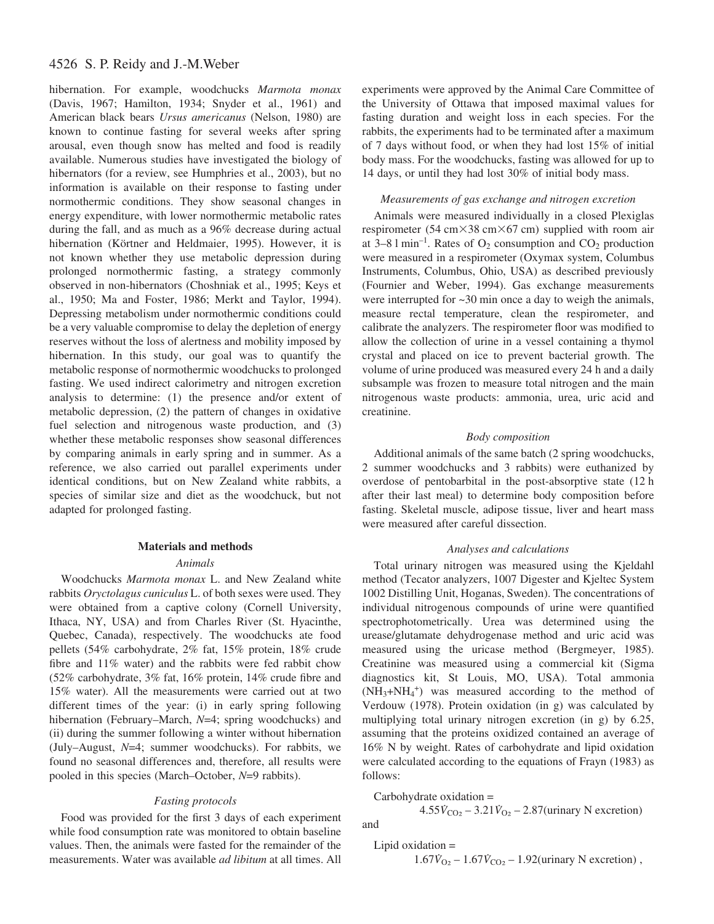# 4526 S. P. Reidy and J.-M.Weber

hibernation. For example, woodchucks *Marmota monax* (Davis, 1967; Hamilton, 1934; Snyder et al., 1961) and American black bears *Ursus americanus* (Nelson, 1980) are known to continue fasting for several weeks after spring arousal, even though snow has melted and food is readily available. Numerous studies have investigated the biology of hibernators (for a review, see Humphries et al., 2003), but no information is available on their response to fasting under normothermic conditions. They show seasonal changes in energy expenditure, with lower normothermic metabolic rates during the fall, and as much as a 96% decrease during actual hibernation (Körtner and Heldmaier, 1995). However, it is not known whether they use metabolic depression during prolonged normothermic fasting, a strategy commonly observed in non-hibernators (Choshniak et al., 1995; Keys et al., 1950; Ma and Foster, 1986; Merkt and Taylor, 1994). Depressing metabolism under normothermic conditions could be a very valuable compromise to delay the depletion of energy reserves without the loss of alertness and mobility imposed by hibernation. In this study, our goal was to quantify the metabolic response of normothermic woodchucks to prolonged fasting. We used indirect calorimetry and nitrogen excretion analysis to determine: (1) the presence and/or extent of metabolic depression, (2) the pattern of changes in oxidative fuel selection and nitrogenous waste production, and (3) whether these metabolic responses show seasonal differences by comparing animals in early spring and in summer. As a reference, we also carried out parallel experiments under identical conditions, but on New Zealand white rabbits, a species of similar size and diet as the woodchuck, but not adapted for prolonged fasting.

# **Materials and methods**

## *Animals*

Woodchucks *Marmota monax* L. and New Zealand white rabbits *Oryctolagus cuniculus* L. of both sexes were used. They were obtained from a captive colony (Cornell University, Ithaca, NY, USA) and from Charles River (St. Hyacinthe, Quebec, Canada), respectively. The woodchucks ate food pellets (54% carbohydrate, 2% fat, 15% protein, 18% crude fibre and 11% water) and the rabbits were fed rabbit chow (52% carbohydrate, 3% fat, 16% protein, 14% crude fibre and 15% water). All the measurements were carried out at two different times of the year: (i) in early spring following hibernation (February–March,  $N=4$ ; spring woodchucks) and (ii) during the summer following a winter without hibernation (July–August, *N*=4; summer woodchucks). For rabbits, we found no seasonal differences and, therefore, all results were pooled in this species (March–October, *N*=9 rabbits).

## *Fasting protocols*

Food was provided for the first 3 days of each experiment while food consumption rate was monitored to obtain baseline values. Then, the animals were fasted for the remainder of the measurements. Water was available *ad libitum* at all times. All

experiments were approved by the Animal Care Committee of the University of Ottawa that imposed maximal values for fasting duration and weight loss in each species. For the rabbits, the experiments had to be terminated after a maximum of 7 days without food, or when they had lost 15% of initial body mass. For the woodchucks, fasting was allowed for up to 14 days, or until they had lost 30% of initial body mass.

# *Measurements of gas exchange and nitrogen excretion*

Animals were measured individually in a closed Plexiglas respirometer (54 cm $\times$ 38 cm $\times$ 67 cm) supplied with room air at 3–8  $1 \text{ min}^{-1}$ . Rates of  $O_2$  consumption and  $CO_2$  production were measured in a respirometer (Oxymax system, Columbus Instruments, Columbus, Ohio, USA) as described previously (Fournier and Weber, 1994). Gas exchange measurements were interrupted for  $\sim$ 30 min once a day to weigh the animals, measure rectal temperature, clean the respirometer, and calibrate the analyzers. The respirometer floor was modified to allow the collection of urine in a vessel containing a thymol crystal and placed on ice to prevent bacterial growth. The volume of urine produced was measured every 24 h and a daily subsample was frozen to measure total nitrogen and the main nitrogenous waste products: ammonia, urea, uric acid and creatinine.

## *Body composition*

Additional animals of the same batch (2 spring woodchucks, 2 summer woodchucks and 3 rabbits) were euthanized by overdose of pentobarbital in the post-absorptive state (12 h after their last meal) to determine body composition before fasting. Skeletal muscle, adipose tissue, liver and heart mass were measured after careful dissection.

#### *Analyses and calculations*

Total urinary nitrogen was measured using the Kjeldahl method (Tecator analyzers, 1007 Digester and Kjeltec System 1002 Distilling Unit, Hoganas, Sweden). The concentrations of individual nitrogenous compounds of urine were quantified spectrophotometrically. Urea was determined using the urease/glutamate dehydrogenase method and uric acid was measured using the uricase method (Bergmeyer, 1985). Creatinine was measured using a commercial kit (Sigma diagnostics kit, St Louis, MO, USA). Total ammonia  $(NH_3+NH_4^+)$  was measured according to the method of Verdouw (1978). Protein oxidation (in g) was calculated by multiplying total urinary nitrogen excretion (in g) by 6.25, assuming that the proteins oxidized contained an average of 16% N by weight. Rates of carbohydrate and lipid oxidation were calculated according to the equations of Frayn (1983) as follows:

Carbohydrate oxidation =  $4.55\dot{V}_{CO_2} - 3.21\dot{V}_{O_2} - 2.87$ (urinary N excretion) and

Lipid oxidation =

$$
1.67\dot{V}_{O_2} - 1.67\dot{V}_{CO_2} - 1.92(\text{urinary N exception})
$$
,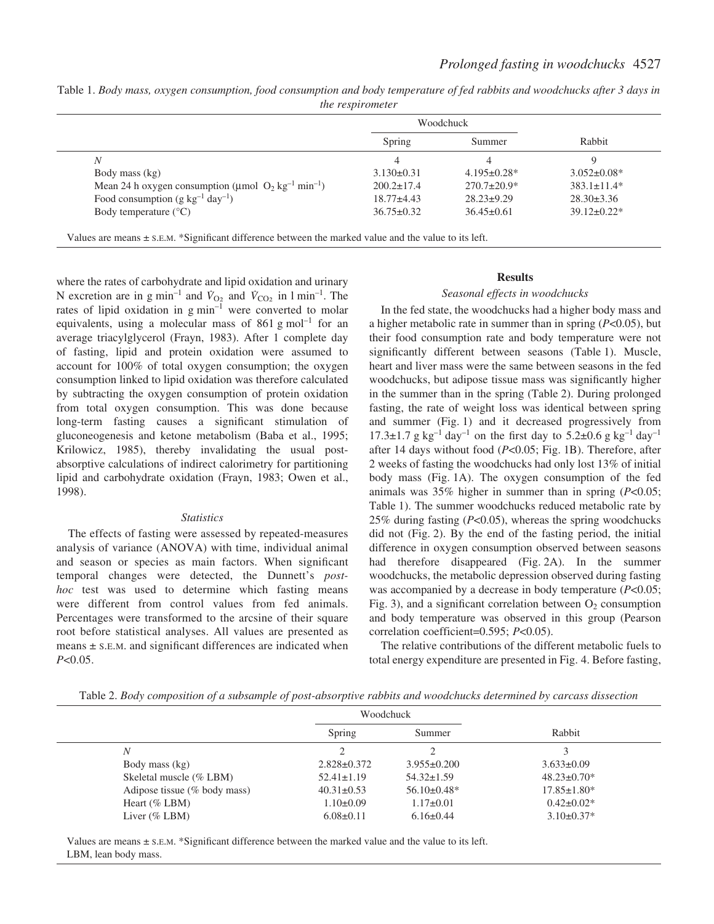| Table 1. Body mass, oxygen consumption, food consumption and body temperature of fed rabbits and woodchucks after 3 days in |  |
|-----------------------------------------------------------------------------------------------------------------------------|--|
| <i>the respirometer</i>                                                                                                     |  |

|                                                                               | <b>Woodchuck</b> |                    |                    |
|-------------------------------------------------------------------------------|------------------|--------------------|--------------------|
|                                                                               | Spring           | Summer             | Rabbit             |
| N                                                                             | 4                |                    |                    |
| Body mass (kg)                                                                | $3.130\pm0.31$   | $4.195 \pm 0.28$ * | $3.052 \pm 0.08^*$ |
| Mean 24 h oxygen consumption (µmol $O_2$ kg <sup>-1</sup> min <sup>-1</sup> ) | $200.2 \pm 17.4$ | $270.7 \pm 20.9^*$ | $383.1 \pm 11.4*$  |
| Food consumption (g $kg^{-1}$ day <sup>-1</sup> )                             | $18.77 \pm 4.43$ | $28.23 \pm 9.29$   | $28.30 \pm 3.36$   |
| Body temperature $(^{\circ}C)$                                                | $36.75 \pm 0.32$ | $36.45 \pm 0.61$   | $39.12 \pm 0.22^*$ |

Values are means ± S.E.M. \*Significant difference between the marked value and the value to its left.

where the rates of carbohydrate and lipid oxidation and urinary N excretion are in g min<sup>-1</sup> and  $\dot{V}_{O_2}$  and  $\dot{V}_{CO_2}$  in 1 min<sup>-1</sup>. The rates of lipid oxidation in  $g$  min<sup>-1</sup> were converted to molar equivalents, using a molecular mass of 861 g mol<sup>-1</sup> for an average triacylglycerol (Frayn, 1983). After 1 complete day of fasting, lipid and protein oxidation were assumed to account for 100% of total oxygen consumption; the oxygen consumption linked to lipid oxidation was therefore calculated by subtracting the oxygen consumption of protein oxidation from total oxygen consumption. This was done because long-term fasting causes a significant stimulation of gluconeogenesis and ketone metabolism (Baba et al., 1995; Krilowicz, 1985), thereby invalidating the usual postabsorptive calculations of indirect calorimetry for partitioning lipid and carbohydrate oxidation (Frayn, 1983; Owen et al., 1998).

### *Statistics*

The effects of fasting were assessed by repeated-measures analysis of variance (ANOVA) with time, individual animal and season or species as main factors. When significant temporal changes were detected, the Dunnett's *posthoc* test was used to determine which fasting means were different from control values from fed animals. Percentages were transformed to the arcsine of their square root before statistical analyses. All values are presented as means  $\pm$  s.e.m. and significant differences are indicated when *P*<0.05.

# **Results**

## *Seasonal effects in woodchucks*

In the fed state, the woodchucks had a higher body mass and a higher metabolic rate in summer than in spring (*P*<0.05), but their food consumption rate and body temperature were not significantly different between seasons (Table 1). Muscle, heart and liver mass were the same between seasons in the fed woodchucks, but adipose tissue mass was significantly higher in the summer than in the spring (Table 2). During prolonged fasting, the rate of weight loss was identical between spring and summer (Fig. 1) and it decreased progressively from  $17.3\pm1.7~g~kg^{-1}~day^{-1}$  on the first day to  $5.2\pm0.6~g~kg^{-1}~day^{-1}$ after 14 days without food  $(P<0.05$ ; Fig. 1B). Therefore, after 2 weeks of fasting the woodchucks had only lost 13% of initial body mass (Fig. 1A). The oxygen consumption of the fed animals was 35% higher in summer than in spring (*P*<0.05; Table 1). The summer woodchucks reduced metabolic rate by 25% during fasting (*P*<0.05), whereas the spring woodchucks did not (Fig. 2). By the end of the fasting period, the initial difference in oxygen consumption observed between seasons had therefore disappeared (Fig. 2A). In the summer woodchucks, the metabolic depression observed during fasting was accompanied by a decrease in body temperature (*P*<0.05; Fig. 3), and a significant correlation between  $O<sub>2</sub>$  consumption and body temperature was observed in this group (Pearson correlation coefficient=0.595; *P*<0.05).

The relative contributions of the different metabolic fuels to total energy expenditure are presented in Fig. 4. Before fasting,

| Table 2. Body composition of a subsample of post-absorptive rabbits and woodchucks determined by carcass dissection |  |  |  |  |
|---------------------------------------------------------------------------------------------------------------------|--|--|--|--|
|                                                                                                                     |  |  |  |  |
|                                                                                                                     |  |  |  |  |

|                              | Woodchuck         |                   |                    |
|------------------------------|-------------------|-------------------|--------------------|
|                              | Spring            | Summer            | Rabbit             |
| $\boldsymbol{N}$             |                   |                   |                    |
| Body mass (kg)               | $2.828 \pm 0.372$ | $3.955 \pm 0.200$ | $3.633 \pm 0.09$   |
| Skeletal muscle (% LBM)      | $52.41 \pm 1.19$  | $54.32 \pm 1.59$  | $48.23 \pm 0.70^*$ |
| Adipose tissue (% body mass) | $40.31 \pm 0.53$  | $56.10\pm0.48*$   | $17.85 \pm 1.80^*$ |
| Heart $(\%$ LBM)             | $1.10\pm0.09$     | $1.17\pm0.01$     | $0.42 \pm 0.02^*$  |
| Liver $(\%$ LBM)             | $6.08 \pm 0.11$   | $6.16 \pm 0.44$   | $3.10\pm0.37*$     |

Values are means  $\pm$  s.E.M. \*Significant difference between the marked value and the value to its left. LBM, lean body mass.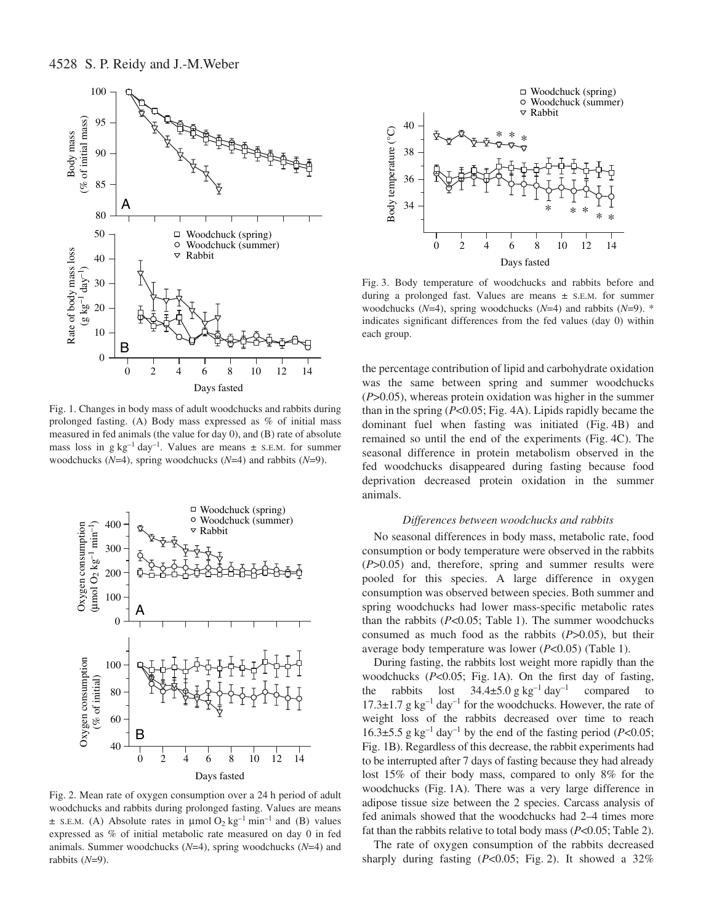

Fig. 1. Changes in body mass of adult woodchucks and rabbits during prolonged fasting. (A) Body mass expressed as % of initial mass measured in fed animals (the value for day 0), and (B) rate of absolute mass loss in g $kg^{-1}$  day<sup>-1</sup>. Values are means  $\pm$  s.E.M. for summer woodchucks (*N*=4), spring woodchucks (*N*=4) and rabbits (*N*=9).



Fig. 2. Mean rate of oxygen consumption over a 24 h period of adult woodchucks and rabbits during prolonged fasting. Values are means  $\pm$  S.E.M. (A) Absolute rates in  $\mu$ mol $O_2$  kg<sup>-1</sup> min<sup>-1</sup> and (B) values expressed as % of initial metabolic rate measured on day 0 in fed animals. Summer woodchucks (*N*=4), spring woodchucks (*N*=4) and rabbits (*N*=9).



Fig. 3. Body temperature of woodchucks and rabbits before and during a prolonged fast. Values are means ± S.E.M. for summer woodchucks (*N*=4), spring woodchucks (*N*=4) and rabbits (*N*=9). \* indicates significant differences from the fed values (day 0) within each group.

the percentage contribution of lipid and carbohydrate oxidation was the same between spring and summer woodchucks (*P*>0.05), whereas protein oxidation was higher in the summer than in the spring  $(P<0.05; Fig. 4A)$ . Lipids rapidly became the dominant fuel when fasting was initiated (Fig. 4B) and remained so until the end of the experiments (Fig. 4C). The seasonal difference in protein metabolism observed in the fed woodchucks disappeared during fasting because food deprivation decreased protein oxidation in the summer animals.

### *Differences between woodchucks and rabbits*

No seasonal differences in body mass, metabolic rate, food consumption or body temperature were observed in the rabbits (*P*>0.05) and, therefore, spring and summer results were pooled for this species. A large difference in oxygen consumption was observed between species. Both summer and spring woodchucks had lower mass-specific metabolic rates than the rabbits  $(P<0.05$ ; Table 1). The summer woodchucks consumed as much food as the rabbits (*P*>0.05), but their average body temperature was lower ( $P<0.05$ ) (Table 1).

During fasting, the rabbits lost weight more rapidly than the woodchucks  $(P<0.05$ ; Fig. 1A). On the first day of fasting, the rabbits lost  $34.4\pm5.0$  g kg<sup>-1</sup> day<sup>-1</sup> compared to 17.3 $\pm$ 1.7 g kg<sup>-1</sup> day<sup>-1</sup> for the woodchucks. However, the rate of weight loss of the rabbits decreased over time to reach 16.3 $\pm$ 5.5 g kg<sup>-1</sup> day<sup>-1</sup> by the end of the fasting period (*P*<0.05; Fig. 1B). Regardless of this decrease, the rabbit experiments had to be interrupted after 7 days of fasting because they had already lost 15% of their body mass, compared to only 8% for the woodchucks (Fig. 1A). There was a very large difference in adipose tissue size between the 2 species. Carcass analysis of fed animals showed that the woodchucks had 2–4 times more fat than the rabbits relative to total body mass (*P*<0.05; Table 2).

The rate of oxygen consumption of the rabbits decreased sharply during fasting  $(P<0.05$ ; Fig. 2). It showed a 32%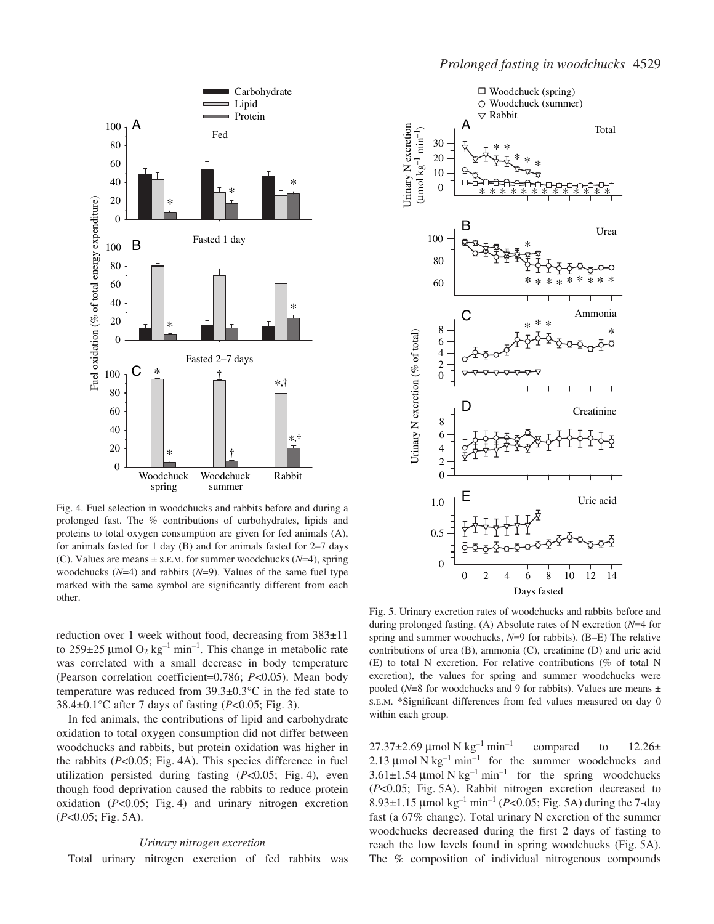

Fig. 4. Fuel selection in woodchucks and rabbits before and during a prolonged fast. The % contributions of carbohydrates, lipids and proteins to total oxygen consumption are given for fed animals (A), for animals fasted for 1 day (B) and for animals fasted for 2–7 days (C). Values are means ± S.E.M. for summer woodchucks (*N*=4), spring woodchucks (*N*=4) and rabbits (*N*=9). Values of the same fuel type marked with the same symbol are significantly different from each other.

reduction over 1 week without food, decreasing from 383±11 to  $259\pm25$  µmol O<sub>2</sub> kg<sup>-1</sup> min<sup>-1</sup>. This change in metabolic rate was correlated with a small decrease in body temperature (Pearson correlation coefficient=0.786; *P*<0.05). Mean body temperature was reduced from 39.3±0.3°C in the fed state to 38.4 $\pm$ 0.1°C after 7 days of fasting (*P*<0.05; Fig. 3).

In fed animals, the contributions of lipid and carbohydrate oxidation to total oxygen consumption did not differ between woodchucks and rabbits, but protein oxidation was higher in the rabbits  $(P<0.05$ ; Fig. 4A). This species difference in fuel utilization persisted during fasting  $(P<0.05$ ; Fig. 4), even though food deprivation caused the rabbits to reduce protein oxidation  $(P<0.05$ ; Fig. 4) and urinary nitrogen excretion  $(P<0.05; Fig.5A)$ .

#### *Urinary nitrogen excretion*

Total urinary nitrogen excretion of fed rabbits was



Fig. 5. Urinary excretion rates of woodchucks and rabbits before and during prolonged fasting. (A) Absolute rates of N excretion (*N*=4 for spring and summer woochucks, *N*=9 for rabbits). (B–E) The relative contributions of urea (B), ammonia (C), creatinine (D) and uric acid (E) to total N excretion. For relative contributions (% of total N excretion), the values for spring and summer woodchucks were pooled ( $N=8$  for woodchucks and 9 for rabbits). Values are means  $\pm$ S.E.M. \*Significant differences from fed values measured on day 0 within each group.

 $27.37\pm2.69~\mu$ mol N $kg^{-1}$  min<sup>-1</sup> compared to 12.26 $\pm$ 2.13  $\mu$ mol N kg<sup>-1</sup> min<sup>-1</sup> for the summer woodchucks and  $3.61\pm1.54 \,\mu$ mol N kg<sup>-1</sup> min<sup>-1</sup> for the spring woodchucks (P<0.05; Fig. 5A). Rabbit nitrogen excretion decreased to 8.93 $\pm$ 1.15 µmol kg<sup>-1</sup> min<sup>-1</sup> (*P*<0.05; Fig. 5A) during the 7-day fast (a 67% change). Total urinary N excretion of the summer woodchucks decreased during the first 2 days of fasting to reach the low levels found in spring woodchucks (Fig. 5A). The % composition of individual nitrogenous compounds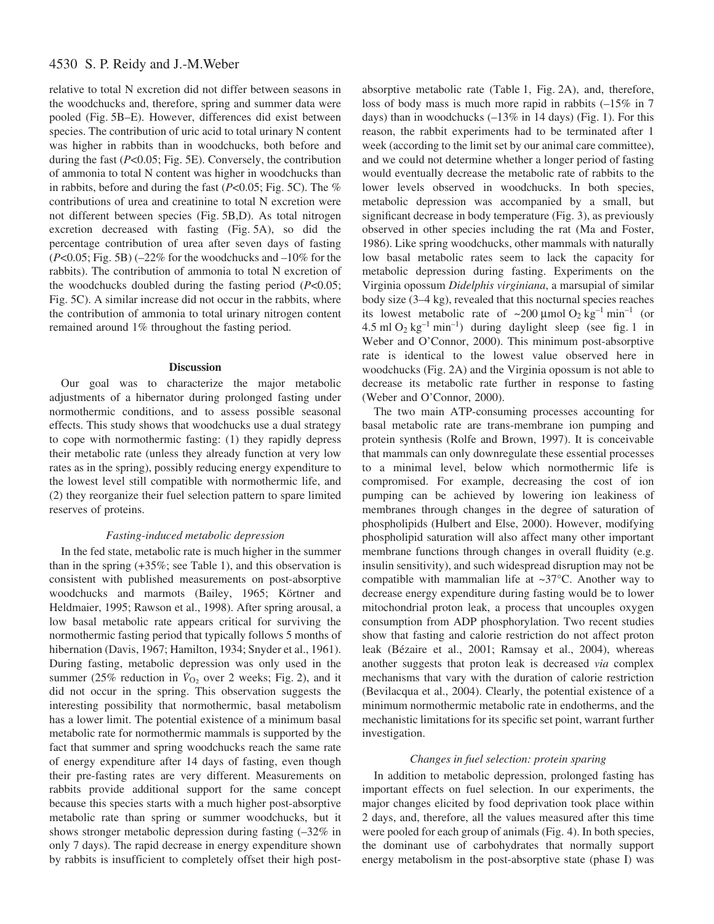# 4530 S. P. Reidy and J.-M.Weber

relative to total N excretion did not differ between seasons in the woodchucks and, therefore, spring and summer data were pooled (Fig. 5B–E). However, differences did exist between species. The contribution of uric acid to total urinary N content was higher in rabbits than in woodchucks, both before and during the fast (*P<*0.05; Fig. 5E). Conversely, the contribution of ammonia to total N content was higher in woodchucks than in rabbits, before and during the fast  $(P<0.05; Fig. 5C)$ . The % contributions of urea and creatinine to total N excretion were not different between species (Fig. 5B,D). As total nitrogen excretion decreased with fasting (Fig. 5A), so did the percentage contribution of urea after seven days of fasting  $(P<0.05; Fig. 5B)$  ( $-22\%$  for the woodchucks and  $-10\%$  for the rabbits). The contribution of ammonia to total N excretion of the woodchucks doubled during the fasting period (*P*<0.05; Fig. 5C). A similar increase did not occur in the rabbits, where the contribution of ammonia to total urinary nitrogen content remained around 1% throughout the fasting period.

# **Discussion**

Our goal was to characterize the major metabolic adjustments of a hibernator during prolonged fasting under normothermic conditions, and to assess possible seasonal effects. This study shows that woodchucks use a dual strategy to cope with normothermic fasting: (1) they rapidly depress their metabolic rate (unless they already function at very low rates as in the spring), possibly reducing energy expenditure to the lowest level still compatible with normothermic life, and (2) they reorganize their fuel selection pattern to spare limited reserves of proteins.

## *Fasting-induced metabolic depression*

In the fed state, metabolic rate is much higher in the summer than in the spring  $(+35\%;$  see Table 1), and this observation is consistent with published measurements on post-absorptive woodchucks and marmots (Bailey, 1965; Körtner and Heldmaier, 1995; Rawson et al., 1998). After spring arousal, a low basal metabolic rate appears critical for surviving the normothermic fasting period that typically follows 5 months of hibernation (Davis, 1967; Hamilton, 1934; Snyder et al., 1961). During fasting, metabolic depression was only used in the summer (25% reduction in  $\dot{V}_{O_2}$  over 2 weeks; Fig. 2), and it did not occur in the spring. This observation suggests the interesting possibility that normothermic, basal metabolism has a lower limit. The potential existence of a minimum basal metabolic rate for normothermic mammals is supported by the fact that summer and spring woodchucks reach the same rate of energy expenditure after 14 days of fasting, even though their pre-fasting rates are very different. Measurements on rabbits provide additional support for the same concept because this species starts with a much higher post-absorptive metabolic rate than spring or summer woodchucks, but it shows stronger metabolic depression during fasting (–32% in only 7 days). The rapid decrease in energy expenditure shown by rabbits is insufficient to completely offset their high postabsorptive metabolic rate (Table 1, Fig. 2A), and, therefore, loss of body mass is much more rapid in rabbits (–15% in 7 days) than in woodchucks  $(-13\%$  in 14 days) (Fig. 1). For this reason, the rabbit experiments had to be terminated after 1 week (according to the limit set by our animal care committee), and we could not determine whether a longer period of fasting would eventually decrease the metabolic rate of rabbits to the lower levels observed in woodchucks. In both species, metabolic depression was accompanied by a small, but significant decrease in body temperature (Fig. 3), as previously observed in other species including the rat (Ma and Foster, 1986). Like spring woodchucks, other mammals with naturally low basal metabolic rates seem to lack the capacity for metabolic depression during fasting. Experiments on the Virginia opossum *Didelphis virginiana*, a marsupial of similar body size  $(3-4 kg)$ , revealed that this nocturnal species reaches its lowest metabolic rate of  $\sim 200 \mu \text{mol} \text{O}_2 \text{kg}^{-1} \text{min}^{-1}$  (or 4.5 ml  $O_2$  kg<sup>-1</sup> min<sup>-1</sup>) during daylight sleep (see fig. 1 in Weber and O'Connor, 2000). This minimum post-absorptive rate is identical to the lowest value observed here in woodchucks (Fig. 2A) and the Virginia opossum is not able to decrease its metabolic rate further in response to fasting (Weber and O'Connor, 2000).

The two main ATP-consuming processes accounting for basal metabolic rate are trans-membrane ion pumping and protein synthesis (Rolfe and Brown, 1997). It is conceivable that mammals can only downregulate these essential processes to a minimal level, below which normothermic life is compromised. For example, decreasing the cost of ion pumping can be achieved by lowering ion leakiness of membranes through changes in the degree of saturation of phospholipids (Hulbert and Else, 2000). However, modifying phospholipid saturation will also affect many other important membrane functions through changes in overall fluidity (e.g. insulin sensitivity), and such widespread disruption may not be compatible with mammalian life at ~37°C. Another way to decrease energy expenditure during fasting would be to lower mitochondrial proton leak, a process that uncouples oxygen consumption from ADP phosphorylation. Two recent studies show that fasting and calorie restriction do not affect proton leak (Bézaire et al., 2001; Ramsay et al., 2004), whereas another suggests that proton leak is decreased *via* complex mechanisms that vary with the duration of calorie restriction (Bevilacqua et al., 2004). Clearly, the potential existence of a minimum normothermic metabolic rate in endotherms, and the mechanistic limitations for its specific set point, warrant further investigation.

#### *Changes in fuel selection: protein sparing*

In addition to metabolic depression, prolonged fasting has important effects on fuel selection. In our experiments, the major changes elicited by food deprivation took place within 2 days, and, therefore, all the values measured after this time were pooled for each group of animals (Fig. 4). In both species, the dominant use of carbohydrates that normally support energy metabolism in the post-absorptive state (phase I) was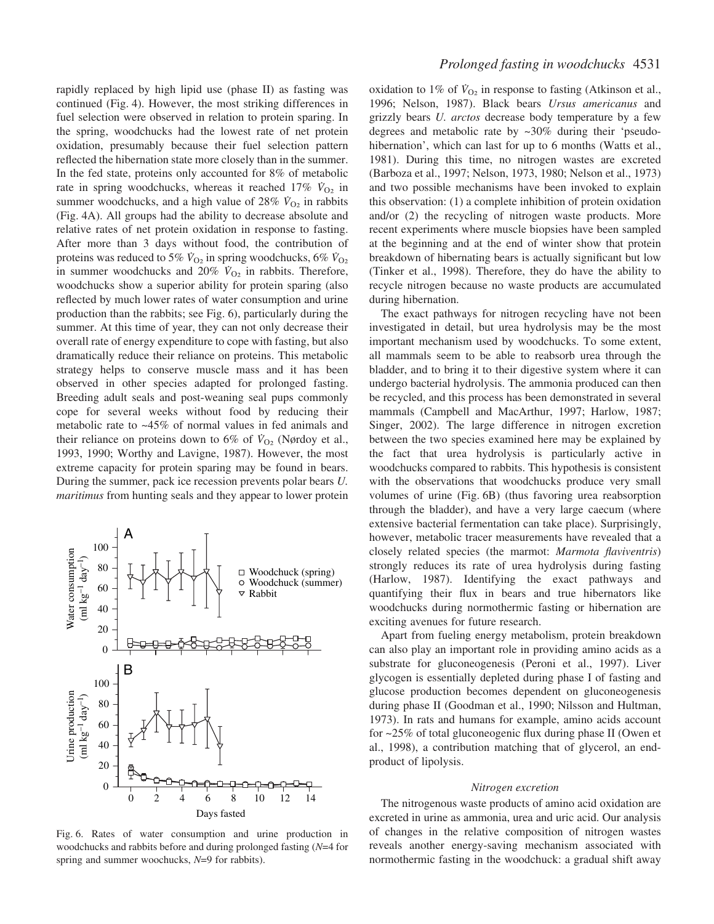rapidly replaced by high lipid use (phase II) as fasting was continued (Fig. 4). However, the most striking differences in fuel selection were observed in relation to protein sparing. In the spring, woodchucks had the lowest rate of net protein oxidation, presumably because their fuel selection pattern reflected the hibernation state more closely than in the summer. In the fed state, proteins only accounted for 8% of metabolic rate in spring woodchucks, whereas it reached  $17\%$   $V_{O_2}$  in summer woodchucks, and a high value of 28%  $V_{O_2}$  in rabbits (Fig. 4A). All groups had the ability to decrease absolute and relative rates of net protein oxidation in response to fasting. After more than 3 days without food, the contribution of proteins was reduced to 5%  $V_{\text{O}_2}$  in spring woodchucks, 6%  $V_{\text{O}_2}$ in summer woodchucks and 20%  $\dot{V}_{O_2}$  in rabbits. Therefore, woodchucks show a superior ability for protein sparing (also reflected by much lower rates of water consumption and urine production than the rabbits; see Fig. 6), particularly during the summer. At this time of year, they can not only decrease their overall rate of energy expenditure to cope with fasting, but also dramatically reduce their reliance on proteins. This metabolic strategy helps to conserve muscle mass and it has been observed in other species adapted for prolonged fasting. Breeding adult seals and post-weaning seal pups commonly cope for several weeks without food by reducing their metabolic rate to ~45% of normal values in fed animals and their reliance on proteins down to 6% of  $V_{O<sub>2</sub>}$  (Nørdoy et al., 1993, 1990; Worthy and Lavigne, 1987). However, the most extreme capacity for protein sparing may be found in bears. During the summer, pack ice recession prevents polar bears *U. maritimus* from hunting seals and they appear to lower protein



Fig. 6. Rates of water consumption and urine production in woodchucks and rabbits before and during prolonged fasting (*N*=4 for spring and summer woochucks, *N*=9 for rabbits).

oxidation to 1% of  $V_{O_2}$  in response to fasting (Atkinson et al., 1996; Nelson, 1987). Black bears *Ursus americanus* and grizzly bears *U. arctos* decrease body temperature by a few degrees and metabolic rate by ~30% during their 'pseudohibernation', which can last for up to 6 months (Watts et al., 1981). During this time, no nitrogen wastes are excreted (Barboza et al., 1997; Nelson, 1973, 1980; Nelson et al., 1973) and two possible mechanisms have been invoked to explain this observation: (1) a complete inhibition of protein oxidation and/or (2) the recycling of nitrogen waste products. More recent experiments where muscle biopsies have been sampled at the beginning and at the end of winter show that protein breakdown of hibernating bears is actually significant but low (Tinker et al., 1998). Therefore, they do have the ability to recycle nitrogen because no waste products are accumulated during hibernation.

The exact pathways for nitrogen recycling have not been investigated in detail, but urea hydrolysis may be the most important mechanism used by woodchucks. To some extent, all mammals seem to be able to reabsorb urea through the bladder, and to bring it to their digestive system where it can undergo bacterial hydrolysis. The ammonia produced can then be recycled, and this process has been demonstrated in several mammals (Campbell and MacArthur, 1997; Harlow, 1987; Singer, 2002). The large difference in nitrogen excretion between the two species examined here may be explained by the fact that urea hydrolysis is particularly active in woodchucks compared to rabbits. This hypothesis is consistent with the observations that woodchucks produce very small volumes of urine (Fig. 6B) (thus favoring urea reabsorption through the bladder), and have a very large caecum (where extensive bacterial fermentation can take place). Surprisingly, however, metabolic tracer measurements have revealed that a closely related species (the marmot: *Marmota flaviventris*) strongly reduces its rate of urea hydrolysis during fasting (Harlow, 1987). Identifying the exact pathways and quantifying their flux in bears and true hibernators like woodchucks during normothermic fasting or hibernation are exciting avenues for future research.

Apart from fueling energy metabolism, protein breakdown can also play an important role in providing amino acids as a substrate for gluconeogenesis (Peroni et al., 1997). Liver glycogen is essentially depleted during phase I of fasting and glucose production becomes dependent on gluconeogenesis during phase II (Goodman et al., 1990; Nilsson and Hultman, 1973). In rats and humans for example, amino acids account for ~25% of total gluconeogenic flux during phase II (Owen et al., 1998), a contribution matching that of glycerol, an endproduct of lipolysis.

#### *Nitrogen excretion*

The nitrogenous waste products of amino acid oxidation are excreted in urine as ammonia, urea and uric acid. Our analysis of changes in the relative composition of nitrogen wastes reveals another energy-saving mechanism associated with normothermic fasting in the woodchuck: a gradual shift away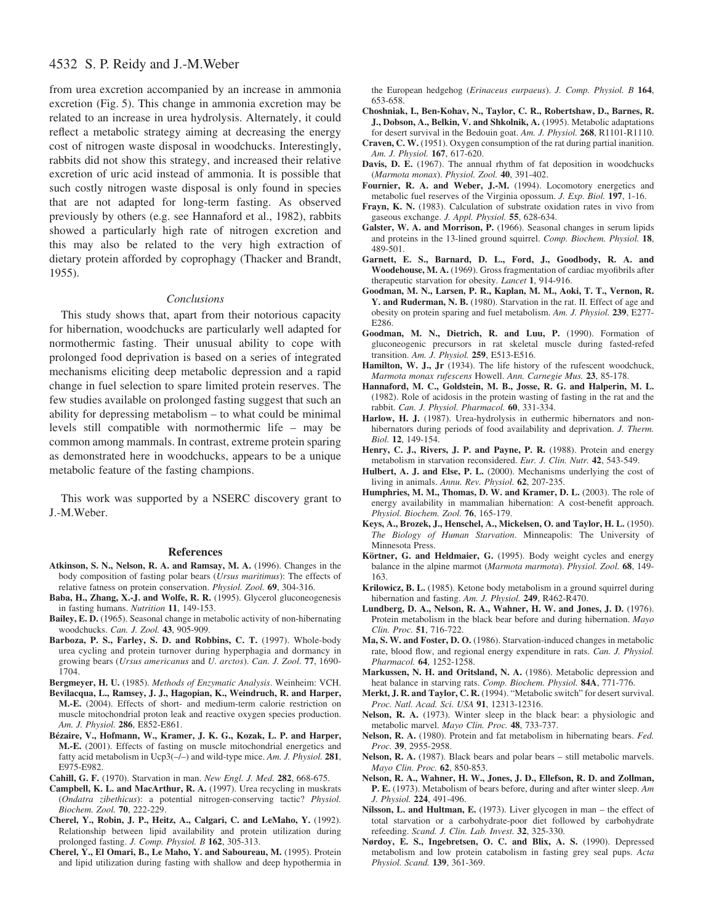# 4532 S. P. Reidy and J.-M.Weber

from urea excretion accompanied by an increase in ammonia excretion (Fig. 5). This change in ammonia excretion may be related to an increase in urea hydrolysis. Alternately, it could reflect a metabolic strategy aiming at decreasing the energy cost of nitrogen waste disposal in woodchucks. Interestingly, rabbits did not show this strategy, and increased their relative excretion of uric acid instead of ammonia. It is possible that such costly nitrogen waste disposal is only found in species that are not adapted for long-term fasting. As observed previously by others (e.g. see Hannaford et al., 1982), rabbits showed a particularly high rate of nitrogen excretion and this may also be related to the very high extraction of dietary protein afforded by coprophagy (Thacker and Brandt, 1955).

### *Conclusions*

This study shows that, apart from their notorious capacity for hibernation, woodchucks are particularly well adapted for normothermic fasting. Their unusual ability to cope with prolonged food deprivation is based on a series of integrated mechanisms eliciting deep metabolic depression and a rapid change in fuel selection to spare limited protein reserves. The few studies available on prolonged fasting suggest that such an ability for depressing metabolism – to what could be minimal levels still compatible with normothermic life – may be common among mammals. In contrast, extreme protein sparing as demonstrated here in woodchucks, appears to be a unique metabolic feature of the fasting champions.

This work was supported by a NSERC discovery grant to J.-M.Weber.

#### **References**

- **Atkinson, S. N., Nelson, R. A. and Ramsay, M. A.** (1996). Changes in the body composition of fasting polar bears (*Ursus maritimus*): The effects of relative fatness on protein conservation. *Physiol. Zool.* **69**, 304-316.
- **Baba, H., Zhang, X.-J. and Wolfe, R. R.** (1995). Glycerol gluconeogenesis in fasting humans. *Nutrition* **11**, 149-153.
- **Bailey, E. D.** (1965). Seasonal change in metabolic activity of non-hibernating woodchucks. *Can. J. Zool.* **43**, 905-909.
- **Barboza, P. S., Farley, S. D. and Robbins, C. T.** (1997). Whole-body urea cycling and protein turnover during hyperphagia and dormancy in growing bears (*Ursus americanus* and *U. arctos*). *Can. J. Zool.* **77**, 1690- 1704.
- **Bergmeyer, H. U.** (1985). *Methods of Enzymatic Analysis*. Weinheim: VCH.
- **Bevilacqua, L., Ramsey, J. J., Hagopian, K., Weindruch, R. and Harper, M.-E.** (2004). Effects of short- and medium-term calorie restriction on muscle mitochondrial proton leak and reactive oxygen species production. *Am. J. Physiol.* **286**, E852-E861.
- **Bézaire, V., Hofmann, W., Kramer, J. K. G., Kozak, L. P. and Harper, M.-E.** (2001). Effects of fasting on muscle mitochondrial energetics and fatty acid metabolism in Ucp3(–/–) and wild-type mice. *Am. J. Physiol.* **281**, E975-E982.
- **Cahill, G. F.** (1970). Starvation in man. *New Engl. J. Med.* **282**, 668-675.
- **Campbell, K. L. and MacArthur, R. A.** (1997). Urea recycling in muskrats (*Ondatra zibethicus*): a potential nitrogen-conserving tactic? *Physiol. Biochem. Zool.* **70**, 222-229.
- **Cherel, Y., Robin, J. P., Heitz, A., Calgari, C. and LeMaho, Y.** (1992). Relationship between lipid availability and protein utilization during prolonged fasting. *J. Comp. Physiol. B* **162**, 305-313.
- **Cherel, Y., El Omari, B., Le Maho, Y. and Saboureau, M.** (1995). Protein and lipid utilization during fasting with shallow and deep hypothermia in

the European hedgehog (*Erinaceus eurpaeus*). *J. Comp. Physiol. B* **164**, 653-658.

- **Choshniak, I., Ben-Kohav, N., Taylor, C. R., Robertshaw, D., Barnes, R. J., Dobson, A., Belkin, V. and Shkolnik, A.** (1995). Metabolic adaptations for desert survival in the Bedouin goat. *Am. J. Physiol.* **268**, R1101-R1110.
- **Craven, C. W.** (1951). Oxygen consumption of the rat during partial inanition. *Am. J. Physiol.* **167**, 617-620.
- **Davis, D. E.** (1967). The annual rhythm of fat deposition in woodchucks (*Marmota monax*). *Physiol. Zool.* **40**, 391-402.
- **Fournier, R. A. and Weber, J.-M.** (1994). Locomotory energetics and metabolic fuel reserves of the Virginia opossum. *J. Exp. Biol.* **197**, 1-16.
- **Frayn, K. N.** (1983). Calculation of substrate oxidation rates in vivo from gaseous exchange. *J. Appl. Physiol.* **55**, 628-634.
- **Galster, W. A. and Morrison, P.** (1966). Seasonal changes in serum lipids and proteins in the 13-lined ground squirrel. *Comp. Biochem. Physiol.* **18**, 489-501.
- **Garnett, E. S., Barnard, D. L., Ford, J., Goodbody, R. A. and Woodehouse, M. A.** (1969). Gross fragmentation of cardiac myofibrils after therapeutic starvation for obesity. *Lancet* **1**, 914-916.
- **Goodman, M. N., Larsen, P. R., Kaplan, M. M., Aoki, T. T., Vernon, R. Y. and Ruderman, N. B.** (1980). Starvation in the rat. II. Effect of age and obesity on protein sparing and fuel metabolism. *Am. J. Physiol.* **239**, E277- E286.
- **Goodman, M. N., Dietrich, R. and Luu, P.** (1990). Formation of gluconeogenic precursors in rat skeletal muscle during fasted-refed transition. *Am. J. Physiol.* **259**, E513-E516.
- **Hamilton, W. J., Jr** (1934). The life history of the rufescent woodchuck, *Marmota monax rufescens* Howell. *Ann. Carnegie Mus.* **23**, 85-178.
- **Hannaford, M. C., Goldstein, M. B., Josse, R. G. and Halperin, M. L.** (1982). Role of acidosis in the protein wasting of fasting in the rat and the rabbit. *Can. J. Physiol. Pharmacol.* **60**, 331-334.
- **Harlow, H. J.** (1987). Urea-hydrolysis in euthermic hibernators and nonhibernators during periods of food availability and deprivation. *J. Therm. Biol.* **12**, 149-154.
- **Henry, C. J., Rivers, J. P. and Payne, P. R.** (1988). Protein and energy metabolism in starvation reconsidered. *Eur. J. Clin. Nutr.* **42**, 543-549.
- **Hulbert, A. J. and Else, P. L.** (2000). Mechanisms underlying the cost of living in animals. *Annu. Rev. Physiol.* **62**, 207-235.
- **Humphries, M. M., Thomas, D. W. and Kramer, D. L.** (2003). The role of energy availability in mammalian hibernation: A cost-benefit approach. *Physiol. Biochem. Zool.* **76**, 165-179.
- **Keys, A., Brozek, J., Henschel, A., Mickelsen, O. and Taylor, H. L.** (1950). *The Biology of Human Starvation*. Minneapolis: The University of Minnesota Press.
- **Körtner, G. and Heldmaier, G.** (1995). Body weight cycles and energy balance in the alpine marmot (*Marmota marmota*). *Physiol. Zool.* **68**, 149- 163.
- **Krilowicz, B. L.** (1985). Ketone body metabolism in a ground squirrel during hibernation and fasting. *Am. J. Physiol.* **249**, R462-R470.
- **Lundberg, D. A., Nelson, R. A., Wahner, H. W. and Jones, J. D.** (1976). Protein metabolism in the black bear before and during hibernation. *Mayo Clin. Proc.* **51**, 716-722.
- **Ma, S. W. and Foster, D. O.** (1986). Starvation-induced changes in metabolic rate, blood flow, and regional energy expenditure in rats. *Can. J. Physiol. Pharmacol.* **64**, 1252-1258.
- **Markussen, N. H. and Oritsland, N. A.** (1986). Metabolic depression and heat balance in starving rats. *Comp. Biochem. Physiol.* **84A**, 771-776.
- **Merkt, J. R. and Taylor, C. R.** (1994). "Metabolic switch" for desert survival. *Proc. Natl. Acad. Sci. USA* **91**, 12313-12316.
- **Nelson, R. A.** (1973). Winter sleep in the black bear: a physiologic and metabolic marvel. *Mayo Clin. Proc.* **48**, 733-737.
- **Nelson, R. A.** (1980). Protein and fat metabolism in hibernating bears. *Fed. Proc.* **39**, 2955-2958.
- **Nelson, R. A.** (1987). Black bears and polar bears still metabolic marvels. *Mayo Clin. Proc.* **62**, 850-853.
- **Nelson, R. A., Wahner, H. W., Jones, J. D., Ellefson, R. D. and Zollman, P. E.** (1973). Metabolism of bears before, during and after winter sleep. *Am J. Physiol.* **224**, 491-496.
- **Nilsson, L. and Hultman, E.** (1973). Liver glycogen in man the effect of total starvation or a carbohydrate-poor diet followed by carbohydrate refeeding. *Scand. J. Clin. Lab. Invest.* **32**, 325-330.
- **Nørdoy, E. S., Ingebretsen, O. C. and Blix, A. S.** (1990). Depressed metabolism and low protein catabolism in fasting grey seal pups. *Acta Physiol. Scand.* **139**, 361-369.